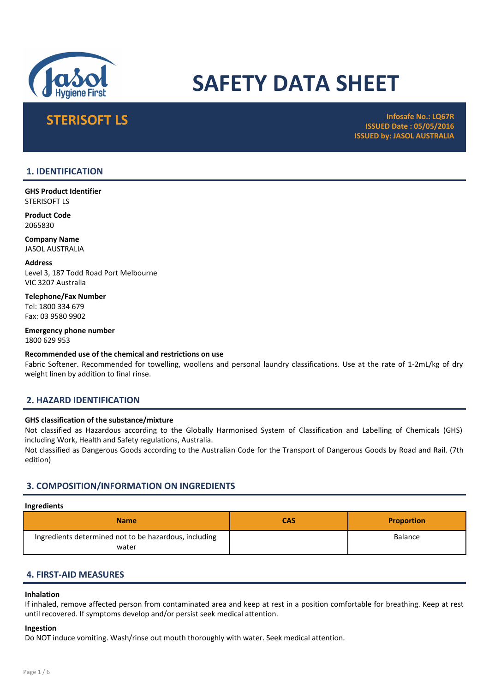

# SAFETY DATA SHEET

STERISOFT LS Infosafe No.: LQ67R ISSUED Date : 05/05/2016 ISSUED by: JASOL AUSTRALIA

# 1. IDENTIFICATION

GHS Product Identifier STERISOFT LS

Product Code 2065830

Company Name JASOL AUSTRALIA

Address Level 3, 187 Todd Road Port Melbourne VIC 3207 Australia

Telephone/Fax Number Tel: 1800 334 679 Fax: 03 9580 9902

Emergency phone number 1800 629 953

# Recommended use of the chemical and restrictions on use

Fabric Softener. Recommended for towelling, woollens and personal laundry classifications. Use at the rate of 1-2mL/kg of dry weight linen by addition to final rinse.

# 2. HAZARD IDENTIFICATION

# GHS classification of the substance/mixture

Not classified as Hazardous according to the Globally Harmonised System of Classification and Labelling of Chemicals (GHS) including Work, Health and Safety regulations, Australia.

Not classified as Dangerous Goods according to the Australian Code for the Transport of Dangerous Goods by Road and Rail. (7th edition)

# 3. COMPOSITION/INFORMATION ON INGREDIENTS

#### Ingredients

| <b>Name</b>                                                    | CAS | <b>Proportion</b> |
|----------------------------------------------------------------|-----|-------------------|
| Ingredients determined not to be hazardous, including<br>water |     | <b>Balance</b>    |

# 4. FIRST-AID MEASURES

#### Inhalation

If inhaled, remove affected person from contaminated area and keep at rest in a position comfortable for breathing. Keep at rest until recovered. If symptoms develop and/or persist seek medical attention.

# Ingestion

Do NOT induce vomiting. Wash/rinse out mouth thoroughly with water. Seek medical attention.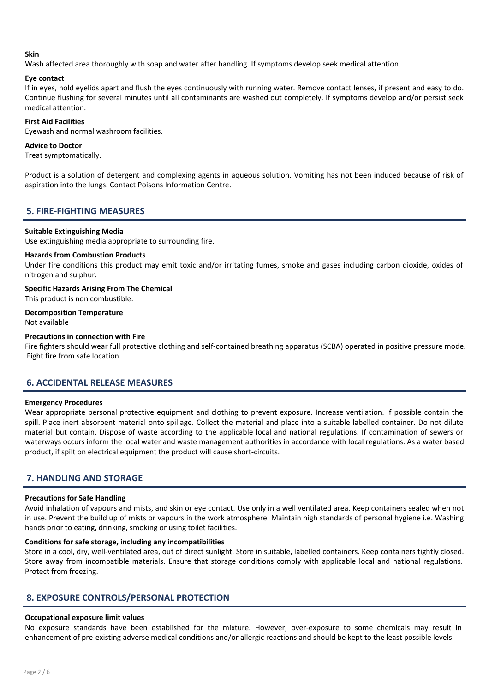# Skin

Wash affected area thoroughly with soap and water after handling. If symptoms develop seek medical attention.

# Eye contact

If in eyes, hold eyelids apart and flush the eyes continuously with running water. Remove contact lenses, if present and easy to do. Continue flushing for several minutes until all contaminants are washed out completely. If symptoms develop and/or persist seek medical attention.

# First Aid Facilities

Eyewash and normal washroom facilities.

# Advice to Doctor

Treat symptomatically.

Product is a solution of detergent and complexing agents in aqueous solution. Vomiting has not been induced because of risk of aspiration into the lungs. Contact Poisons Information Centre.

# 5. FIRE-FIGHTING MEASURES

# Suitable Extinguishing Media

Use extinguishing media appropriate to surrounding fire.

# Hazards from Combustion Products

Under fire conditions this product may emit toxic and/or irritating fumes, smoke and gases including carbon dioxide, oxides of nitrogen and sulphur.

Specific Hazards Arising From The Chemical

This product is non combustible.

Decomposition Temperature Not available

# Precautions in connection with Fire

Fire fighters should wear full protective clothing and self-contained breathing apparatus (SCBA) operated in positive pressure mode. Fight fire from safe location.

# 6. ACCIDENTAL RELEASE MEASURES

# Emergency Procedures

Wear appropriate personal protective equipment and clothing to prevent exposure. Increase ventilation. If possible contain the spill. Place inert absorbent material onto spillage. Collect the material and place into a suitable labelled container. Do not dilute material but contain. Dispose of waste according to the applicable local and national regulations. If contamination of sewers or waterways occurs inform the local water and waste management authorities in accordance with local regulations. As a water based product, if spilt on electrical equipment the product will cause short-circuits.

# 7. HANDLING AND STORAGE

# Precautions for Safe Handling

Avoid inhalation of vapours and mists, and skin or eye contact. Use only in a well ventilated area. Keep containers sealed when not in use. Prevent the build up of mists or vapours in the work atmosphere. Maintain high standards of personal hygiene i.e. Washing hands prior to eating, drinking, smoking or using toilet facilities.

# Conditions for safe storage, including any incompatibilities

Store in a cool, dry, well-ventilated area, out of direct sunlight. Store in suitable, labelled containers. Keep containers tightly closed. Store away from incompatible materials. Ensure that storage conditions comply with applicable local and national regulations. Protect from freezing.

# 8. EXPOSURE CONTROLS/PERSONAL PROTECTION

# Occupational exposure limit values

No exposure standards have been established for the mixture. However, over-exposure to some chemicals may result in enhancement of pre-existing adverse medical conditions and/or allergic reactions and should be kept to the least possible levels.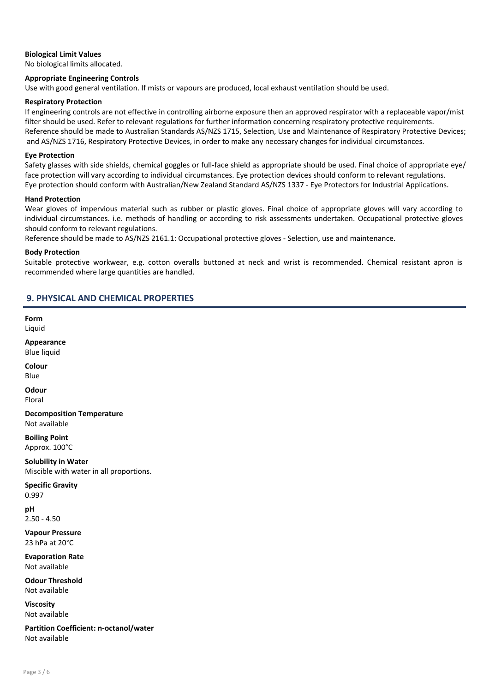## Biological Limit Values

No biological limits allocated.

#### Appropriate Engineering Controls

Use with good general ventilation. If mists or vapours are produced, local exhaust ventilation should be used.

#### Respiratory Protection

If engineering controls are not effective in controlling airborne exposure then an approved respirator with a replaceable vapor/mist filter should be used. Refer to relevant regulations for further information concerning respiratory protective requirements. Reference should be made to Australian Standards AS/NZS 1715, Selection, Use and Maintenance of Respiratory Protective Devices; and AS/NZS 1716, Respiratory Protective Devices, in order to make any necessary changes for individual circumstances.

#### Eye Protection

Safety glasses with side shields, chemical goggles or full-face shield as appropriate should be used. Final choice of appropriate eye/ face protection will vary according to individual circumstances. Eye protection devices should conform to relevant regulations. Eye protection should conform with Australian/New Zealand Standard AS/NZS 1337 - Eye Protectors for Industrial Applications.

#### Hand Protection

Wear gloves of impervious material such as rubber or plastic gloves. Final choice of appropriate gloves will vary according to individual circumstances. i.e. methods of handling or according to risk assessments undertaken. Occupational protective gloves should conform to relevant regulations.

Reference should be made to AS/NZS 2161.1: Occupational protective gloves - Selection, use and maintenance.

#### Body Protection

Suitable protective workwear, e.g. cotton overalls buttoned at neck and wrist is recommended. Chemical resistant apron is recommended where large quantities are handled.

# 9. PHYSICAL AND CHEMICAL PROPERTIES

Form Liquid

Appearance Blue liquid

Colour Blue

**Odour** Floral

Decomposition Temperature Not available

Boiling Point Approx. 100°C

Solubility in Water Miscible with water in all proportions.

Specific Gravity 0.997

pH 2.50 - 4.50

Vapour Pressure 23 hPa at 20°C

Evaporation Rate Not available

Odour Threshold Not available

Viscosity Not available

Partition Coefficient: n-octanol/water Not available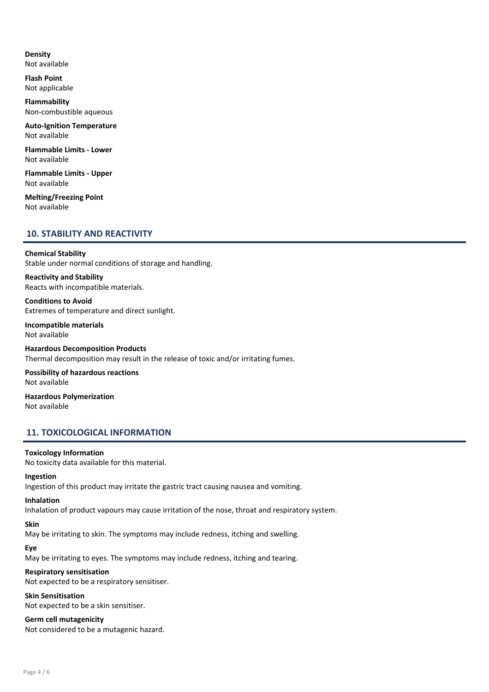# Density

Not available

Flash Point Not applicable

Flammability Non-combustible aqueous

Auto-Ignition Temperature Not available

Flammable Limits - Lower Not available

Flammable Limits - Upper Not available

Melting/Freezing Point Not available

# 10. STABILITY AND REACTIVITY

#### Chemical Stability

Stable under normal conditions of storage and handling.

Reactivity and Stability Reacts with incompatible materials.

Conditions to Avoid Extremes of temperature and direct sunlight.

Incompatible materials Not available

Hazardous Decomposition Products Thermal decomposition may result in the release of toxic and/or irritating fumes.

Possibility of hazardous reactions Not available

Hazardous Polymerization Not available

# 11. TOXICOLOGICAL INFORMATION

# Toxicology Information

No toxicity data available for this material.

#### Ingestion

Ingestion of this product may irritate the gastric tract causing nausea and vomiting.

#### Inhalation

Inhalation of product vapours may cause irritation of the nose, throat and respiratory system.

# Skin

May be irritating to skin. The symptoms may include redness, itching and swelling.

# Eye

May be irritating to eyes. The symptoms may include redness, itching and tearing.

# Respiratory sensitisation

Not expected to be a respiratory sensitiser.

# Skin Sensitisation

Not expected to be a skin sensitiser.

# Germ cell mutagenicity

Not considered to be a mutagenic hazard.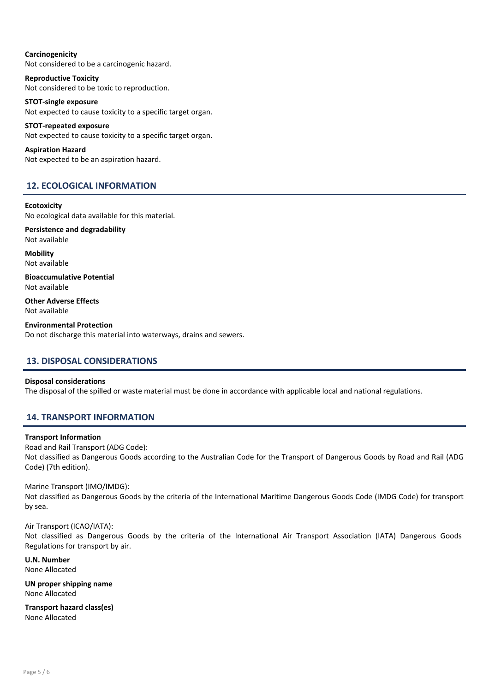# Carcinogenicity Not considered to be a carcinogenic hazard.

Reproductive Toxicity Not considered to be toxic to reproduction.

#### STOT-single exposure Not expected to cause toxicity to a specific target organ.

STOT-repeated exposure Not expected to cause toxicity to a specific target organ.

Aspiration Hazard Not expected to be an aspiration hazard.

# 12. ECOLOGICAL INFORMATION

# **Ecotoxicity**

No ecological data available for this material.

Persistence and degradability Not available

**Mobility** Not available

Bioaccumulative Potential Not available

Other Adverse Effects Not available

Environmental Protection Do not discharge this material into waterways, drains and sewers.

# 13. DISPOSAL CONSIDERATIONS

# Disposal considerations

The disposal of the spilled or waste material must be done in accordance with applicable local and national regulations.

# 14. TRANSPORT INFORMATION

# Transport Information

Road and Rail Transport (ADG Code): Not classified as Dangerous Goods according to the Australian Code for the Transport of Dangerous Goods by Road and Rail (ADG Code) (7th edition).

# Marine Transport (IMO/IMDG):

Not classified as Dangerous Goods by the criteria of the International Maritime Dangerous Goods Code (IMDG Code) for transport by sea.

Air Transport (ICAO/IATA):

Not classified as Dangerous Goods by the criteria of the International Air Transport Association (IATA) Dangerous Goods Regulations for transport by air.

U.N. Number None Allocated

UN proper shipping name None Allocated

Transport hazard class(es) None Allocated